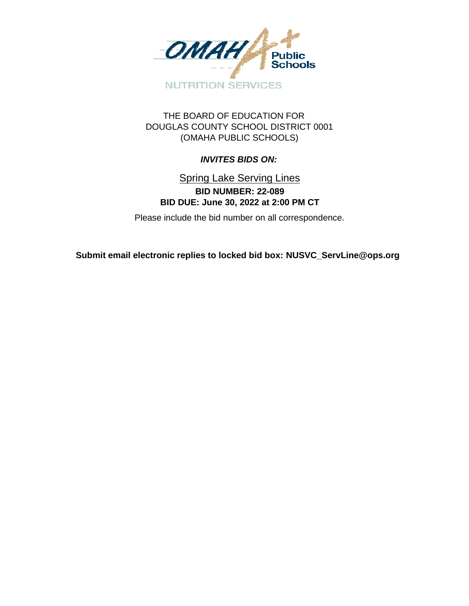

THE BOARD OF EDUCATION FOR DOUGLAS COUNTY SCHOOL DISTRICT 0001 (OMAHA PUBLIC SCHOOLS)

# *INVITES BIDS ON:*

# Spring Lake Serving Lines **BID NUMBER: 22-089 BID DUE: June 30, 2022 at 2:00 PM CT**

Please include the bid number on all correspondence.

**Submit email electronic replies to locked bid box: NUSVC\_ServLine@ops.org**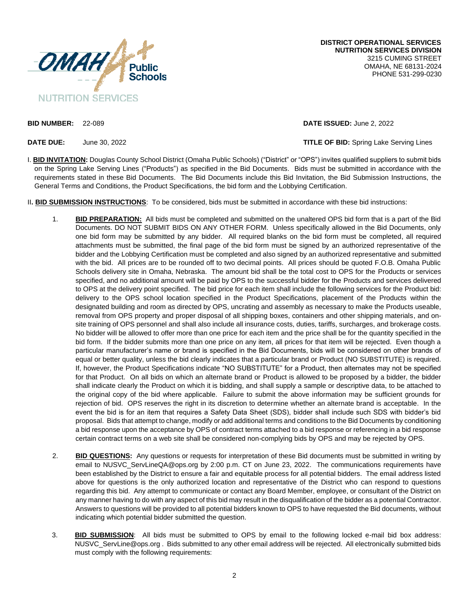

**DISTRICT OPERATIONAL SERVICES NUTRITION SERVICES DIVISION** 3215 CUMING STREET OMAHA, NE 68131-2024 PHONE 531-299-0230

**BID NUMBER:** 22-089 **DATE ISSUED:** June 2, 2022

**DATE DUE:** June 30, 2022 **TITLE OF BID:** Spring Lake Serving Lines

- I. **BID INVITATION:** Douglas County School District (Omaha Public Schools) ("District" or "OPS") invites qualified suppliers to submit bids on the Spring Lake Serving Lines ("Products") as specified in the Bid Documents. Bids must be submitted in accordance with the requirements stated in these Bid Documents. The Bid Documents include this Bid Invitation, the Bid Submission Instructions, the General Terms and Conditions, the Product Specifications, the bid form and the Lobbying Certification.
- II**. BID SUBMISSION INSTRUCTIONS**: To be considered, bids must be submitted in accordance with these bid instructions:
	- 1. **BID PREPARATION:** All bids must be completed and submitted on the unaltered OPS bid form that is a part of the Bid Documents. DO NOT SUBMIT BIDS ON ANY OTHER FORM. Unless specifically allowed in the Bid Documents, only one bid form may be submitted by any bidder. All required blanks on the bid form must be completed, all required attachments must be submitted, the final page of the bid form must be signed by an authorized representative of the bidder and the Lobbying Certification must be completed and also signed by an authorized representative and submitted with the bid. All prices are to be rounded off to two decimal points. All prices should be quoted F.O.B. Omaha Public Schools delivery site in Omaha, Nebraska. The amount bid shall be the total cost to OPS for the Products or services specified, and no additional amount will be paid by OPS to the successful bidder for the Products and services delivered to OPS at the delivery point specified. The bid price for each item shall include the following services for the Product bid: delivery to the OPS school location specified in the Product Specifications, placement of the Products within the designated building and room as directed by OPS, uncrating and assembly as necessary to make the Products useable, removal from OPS property and proper disposal of all shipping boxes, containers and other shipping materials, and onsite training of OPS personnel and shall also include all insurance costs, duties, tariffs, surcharges, and brokerage costs. No bidder will be allowed to offer more than one price for each item and the price shall be for the quantity specified in the bid form. If the bidder submits more than one price on any item, all prices for that item will be rejected. Even though a particular manufacturer's name or brand is specified in the Bid Documents, bids will be considered on other brands of equal or better quality, unless the bid clearly indicates that a particular brand or Product (NO SUBSTITUTE) is required. If, however, the Product Specifications indicate "NO SUBSTITUTE" for a Product, then alternates may not be specified for that Product. On all bids on which an alternate brand or Product is allowed to be proposed by a bidder, the bidder shall indicate clearly the Product on which it is bidding, and shall supply a sample or descriptive data, to be attached to the original copy of the bid where applicable. Failure to submit the above information may be sufficient grounds for rejection of bid. OPS reserves the right in its discretion to determine whether an alternate brand is acceptable. In the event the bid is for an item that requires a Safety Data Sheet (SDS), bidder shall include such SDS with bidder's bid proposal. Bids that attempt to change, modify or add additional terms and conditions to the Bid Documents by conditioning a bid response upon the acceptance by OPS of contract terms attached to a bid response or referencing in a bid response certain contract terms on a web site shall be considered non-complying bids by OPS and may be rejected by OPS.
	- 2. **BID QUESTIONS:** Any questions or requests for interpretation of these Bid documents must be submitted in writing by email to NUSVC, ServLineQA@ops.org by 2:00 p.m. CT on June 23, 2022. The communications requirements have been established by the District to ensure a fair and equitable process for all potential bidders. The email address listed above for questions is the only authorized location and representative of the District who can respond to questions regarding this bid. Any attempt to communicate or contact any Board Member, employee, or consultant of the District on any manner having to do with any aspect of this bid may result in the disqualification of the bidder as a potential Contractor. Answers to questions will be provided to all potential bidders known to OPS to have requested the Bid documents, without indicating which potential bidder submitted the question.
	- 3. **BID SUBMISSION**: All bids must be submitted to OPS by email to the following locked e-mail bid box address: NUSVC\_ServLine@ops.org . Bids submitted to any other email address will be rejected. All electronically submitted bids must comply with the following requirements: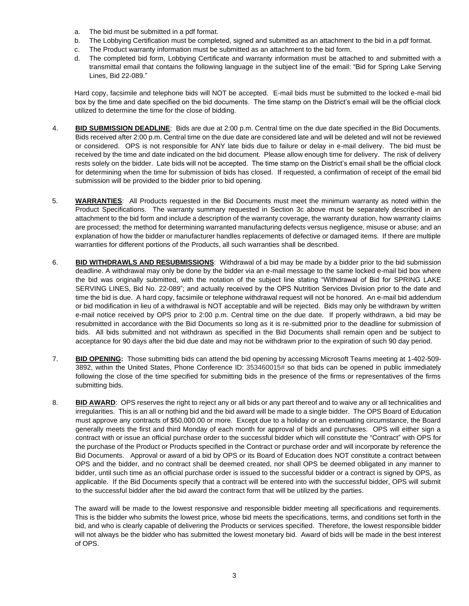- a. The bid must be submitted in a pdf format.
- b. The Lobbying Certification must be completed, signed and submitted as an attachment to the bid in a pdf format.
- c. The Product warranty information must be submitted as an attachment to the bid form.
- d. The completed bid form, Lobbying Certificate and warranty information must be attached to and submitted with a transmittal email that contains the following language in the subject line of the email: "Bid for Spring Lake Serving Lines, Bid 22-089."

Hard copy, facsimile and telephone bids will NOT be accepted. E-mail bids must be submitted to the locked e-mail bid box by the time and date specified on the bid documents. The time stamp on the District's email will be the official clock utilized to determine the time for the close of bidding.

- 4. **BID SUBMISSION DEADLINE**: Bids are due at 2:00 p.m. Central time on the due date specified in the Bid Documents. Bids received after 2:00 p.m. Central time on the due date are considered late and will be deleted and will not be reviewed or considered. OPS is not responsible for ANY late bids due to failure or delay in e-mail delivery. The bid must be received by the time and date indicated on the bid document. Please allow enough time for delivery. The risk of delivery rests solely on the bidder. Late bids will not be accepted. The time stamp on the District's email shall be the official clock for determining when the time for submission of bids has closed. If requested, a confirmation of receipt of the email bid submission will be provided to the bidder prior to bid opening.
- 5. **WARRANTIES**: All Products requested in the Bid Documents must meet the minimum warranty as noted within the Product Specifications. The warranty summary requested in Section 3c above must be separately described in an attachment to the bid form and include a description of the warranty coverage, the warranty duration, how warranty claims are processed; the method for determining warranted manufacturing defects versus negligence, misuse or abuse; and an explanation of how the bidder or manufacturer handles replacements of defective or damaged items. If there are multiple warranties for different portions of the Products, all such warranties shall be described.
- 6. **BID WITHDRAWLS AND RESUBMISSIONS**: Withdrawal of a bid may be made by a bidder prior to the bid submission deadline. A withdrawal may only be done by the bidder via an e-mail message to the same locked e-mail bid box where the bid was originally submitted, with the notation of the subject line stating "Withdrawal of Bid for SPRING LAKE SERVING LINES, Bid No. 22-089"; and actually received by the OPS Nutrition Services Division prior to the date and time the bid is due. A hard copy, facsimile or telephone withdrawal request will not be honored. An e-mail bid addendum or bid modification in lieu of a withdrawal is NOT acceptable and will be rejected. Bids may only be withdrawn by written e-mail notice received by OPS prior to 2:00 p.m. Central time on the due date. If properly withdrawn, a bid may be resubmitted in accordance with the Bid Documents so long as it is re-submitted prior to the deadline for submission of bids. All bids submitted and not withdrawn as specified in the Bid Documents shall remain open and be subject to acceptance for 90 days after the bid due date and may not be withdrawn prior to the expiration of such 90 day period.
- 7. **BID OPENING:** Those submitting bids can attend the bid opening by accessing Microsoft Teams meeting at 1-402-509- 3892, within the United States, Phone Conference ID: 353460015# so that bids can be opened in public immediately following the close of the time specified for submitting bids in the presence of the firms or representatives of the firms submitting bids.
- 8. **BID AWARD**: OPS reserves the right to reject any or all bids or any part thereof and to waive any or all technicalities and irregularities. This is an all or nothing bid and the bid award will be made to a single bidder. The OPS Board of Education must approve any contracts of \$50,000.00 or more. Except due to a holiday or an extenuating circumstance, the Board generally meets the first and third Monday of each month for approval of bids and purchases. OPS will either sign a contract with or issue an official purchase order to the successful bidder which will constitute the "Contract" with OPS for the purchase of the Product or Products specified in the Contract or purchase order and will incorporate by reference the Bid Documents. Approval or award of a bid by OPS or its Board of Education does NOT constitute a contract between OPS and the bidder, and no contract shall be deemed created, nor shall OPS be deemed obligated in any manner to bidder, until such time as an official purchase order is issued to the successful bidder or a contract is signed by OPS, as applicable. If the Bid Documents specify that a contract will be entered into with the successful bidder, OPS will submit to the successful bidder after the bid award the contract form that will be utilized by the parties.

The award will be made to the lowest responsive and responsible bidder meeting all specifications and requirements. This is the bidder who submits the lowest price, whose bid meets the specifications, terms, and conditions set forth in the bid, and who is clearly capable of delivering the Products or services specified. Therefore, the lowest responsible bidder will not always be the bidder who has submitted the lowest monetary bid. Award of bids will be made in the best interest of OPS.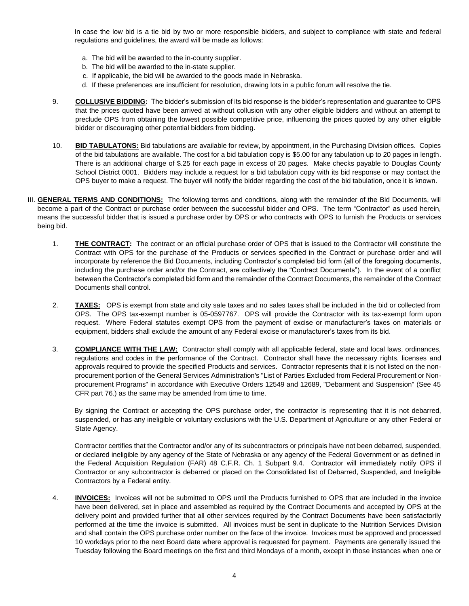In case the low bid is a tie bid by two or more responsible bidders, and subject to compliance with state and federal regulations and guidelines, the award will be made as follows:

- a. The bid will be awarded to the in-county supplier.
- b. The bid will be awarded to the in-state supplier.
- c. If applicable, the bid will be awarded to the goods made in Nebraska.
- d. If these preferences are insufficient for resolution, drawing lots in a public forum will resolve the tie.
- 9. **COLLUSIVE BIDDING:** The bidder's submission of its bid response is the bidder's representation and guarantee to OPS that the prices quoted have been arrived at without collusion with any other eligible bidders and without an attempt to preclude OPS from obtaining the lowest possible competitive price, influencing the prices quoted by any other eligible bidder or discouraging other potential bidders from bidding.
- 10. **BID TABULATONS:** Bid tabulations are available for review, by appointment, in the Purchasing Division offices. Copies of the bid tabulations are available. The cost for a bid tabulation copy is \$5.00 for any tabulation up to 20 pages in length. There is an additional charge of \$.25 for each page in excess of 20 pages. Make checks payable to Douglas County School District 0001. Bidders may include a request for a bid tabulation copy with its bid response or may contact the OPS buyer to make a request. The buyer will notify the bidder regarding the cost of the bid tabulation, once it is known.
- III. **GENERAL TERMS AND CONDITIONS:** The following terms and conditions, along with the remainder of the Bid Documents, will become a part of the Contract or purchase order between the successful bidder and OPS. The term "Contractor" as used herein, means the successful bidder that is issued a purchase order by OPS or who contracts with OPS to furnish the Products or services being bid.
	- 1. **THE CONTRACT:** The contract or an official purchase order of OPS that is issued to the Contractor will constitute the Contract with OPS for the purchase of the Products or services specified in the Contract or purchase order and will incorporate by reference the Bid Documents, including Contractor's completed bid form (all of the foregoing documents, including the purchase order and/or the Contract, are collectively the "Contract Documents"). In the event of a conflict between the Contractor's completed bid form and the remainder of the Contract Documents, the remainder of the Contract Documents shall control.
	- 2. **TAXES:** OPS is exempt from state and city sale taxes and no sales taxes shall be included in the bid or collected from OPS. The OPS tax-exempt number is 05-0597767. OPS will provide the Contractor with its tax-exempt form upon request. Where Federal statutes exempt OPS from the payment of excise or manufacturer's taxes on materials or equipment, bidders shall exclude the amount of any Federal excise or manufacturer's taxes from its bid.
	- 3. **COMPLIANCE WITH THE LAW:** Contractor shall comply with all applicable federal, state and local laws, ordinances, regulations and codes in the performance of the Contract. Contractor shall have the necessary rights, licenses and approvals required to provide the specified Products and services. Contractor represents that it is not listed on the nonprocurement portion of the General Services Administration's "List of Parties Excluded from Federal Procurement or Nonprocurement Programs" in accordance with Executive Orders 12549 and 12689, "Debarment and Suspension" (See 45 CFR part 76.) as the same may be amended from time to time.

By signing the Contract or accepting the OPS purchase order, the contractor is representing that it is not debarred, suspended, or has any ineligible or voluntary exclusions with the U.S. Department of Agriculture or any other Federal or State Agency.

Contractor certifies that the Contractor and/or any of its subcontractors or principals have not been debarred, suspended, or declared ineligible by any agency of the State of Nebraska or any agency of the Federal Government or as defined in the Federal Acquisition Regulation (FAR) 48 C.F.R. Ch. 1 Subpart 9.4. Contractor will immediately notify OPS if Contractor or any subcontractor is debarred or placed on the Consolidated list of Debarred, Suspended, and Ineligible Contractors by a Federal entity.

4. **INVOICES:** Invoices will not be submitted to OPS until the Products furnished to OPS that are included in the invoice have been delivered, set in place and assembled as required by the Contract Documents and accepted by OPS at the delivery point and provided further that all other services required by the Contract Documents have been satisfactorily performed at the time the invoice is submitted. All invoices must be sent in duplicate to the Nutrition Services Division and shall contain the OPS purchase order number on the face of the invoice. Invoices must be approved and processed 10 workdays prior to the next Board date where approval is requested for payment. Payments are generally issued the Tuesday following the Board meetings on the first and third Mondays of a month, except in those instances when one or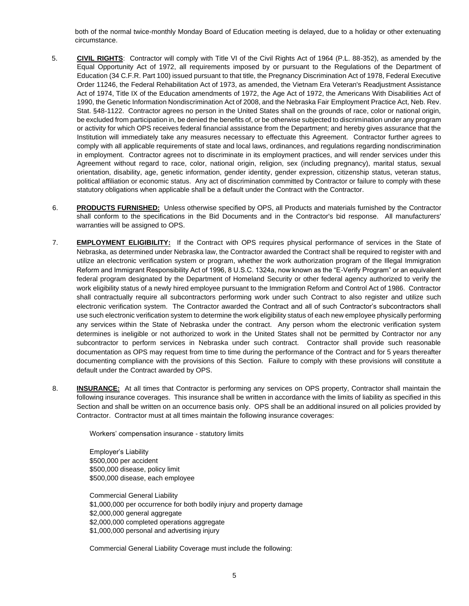both of the normal twice-monthly Monday Board of Education meeting is delayed, due to a holiday or other extenuating circumstance.

- 5. **CIVIL RIGHTS**: Contractor will comply with Title VI of the Civil Rights Act of 1964 (P.L. 88-352), as amended by the Equal Opportunity Act of 1972, all requirements imposed by or pursuant to the Regulations of the Department of Education (34 C.F.R. Part 100) issued pursuant to that title, the Pregnancy Discrimination Act of 1978, Federal Executive Order 11246, the Federal Rehabilitation Act of 1973, as amended, the Vietnam Era Veteran's Readjustment Assistance Act of 1974, Title IX of the Education amendments of 1972, the Age Act of 1972, the Americans With Disabilities Act of 1990, the Genetic Information Nondiscrimination Act of 2008, and the Nebraska Fair Employment Practice Act, Neb. Rev. Stat. §48-1122. Contractor agrees no person in the United States shall on the grounds of race, color or national origin, be excluded from participation in, be denied the benefits of, or be otherwise subjected to discrimination under any program or activity for which OPS receives federal financial assistance from the Department; and hereby gives assurance that the Institution will immediately take any measures necessary to effectuate this Agreement. Contractor further agrees to comply with all applicable requirements of state and local laws, ordinances, and regulations regarding nondiscrimination in employment. Contractor agrees not to discriminate in its employment practices, and will render services under this Agreement without regard to race, color, national origin, religion, sex (including pregnancy), marital status, sexual orientation, disability, age, genetic information, gender identity, gender expression, citizenship status, veteran status, political affiliation or economic status. Any act of discrimination committed by Contractor or failure to comply with these statutory obligations when applicable shall be a default under the Contract with the Contractor.
- 6. **PRODUCTS FURNISHED:** Unless otherwise specified by OPS, all Products and materials furnished by the Contractor shall conform to the specifications in the Bid Documents and in the Contractor's bid response. All manufacturers' warranties will be assigned to OPS.
- 7. **EMPLOYMENT ELIGIBILITY:** If the Contract with OPS requires physical performance of services in the State of Nebraska, as determined under Nebraska law, the Contractor awarded the Contract shall be required to register with and utilize an electronic verification system or program, whether the work authorization program of the Illegal Immigration Reform and Immigrant Responsibility Act of 1996, 8 U.S.C. 1324a, now known as the "E-Verify Program" or an equivalent federal program designated by the Department of Homeland Security or other federal agency authorized to verify the work eligibility status of a newly hired employee pursuant to the Immigration Reform and Control Act of 1986. Contractor shall contractually require all subcontractors performing work under such Contract to also register and utilize such electronic verification system. The Contractor awarded the Contract and all of such Contractor's subcontractors shall use such electronic verification system to determine the work eligibility status of each new employee physically performing any services within the State of Nebraska under the contract. Any person whom the electronic verification system determines is ineligible or not authorized to work in the United States shall not be permitted by Contractor nor any subcontractor to perform services in Nebraska under such contract. Contractor shall provide such reasonable documentation as OPS may request from time to time during the performance of the Contract and for 5 years thereafter documenting compliance with the provisions of this Section. Failure to comply with these provisions will constitute a default under the Contract awarded by OPS.
- 8. **INSURANCE:** At all times that Contractor is performing any services on OPS property, Contractor shall maintain the following insurance coverages. This insurance shall be written in accordance with the limits of liability as specified in this Section and shall be written on an occurrence basis only. OPS shall be an additional insured on all policies provided by Contractor. Contractor must at all times maintain the following insurance coverages:

Workers' compensation insurance - statutory limits

Employer's Liability \$500,000 per accident \$500,000 disease, policy limit \$500,000 disease, each employee

Commercial General Liability \$1,000,000 per occurrence for both bodily injury and property damage \$2,000,000 general aggregate \$2,000,000 completed operations aggregate \$1,000,000 personal and advertising injury

Commercial General Liability Coverage must include the following: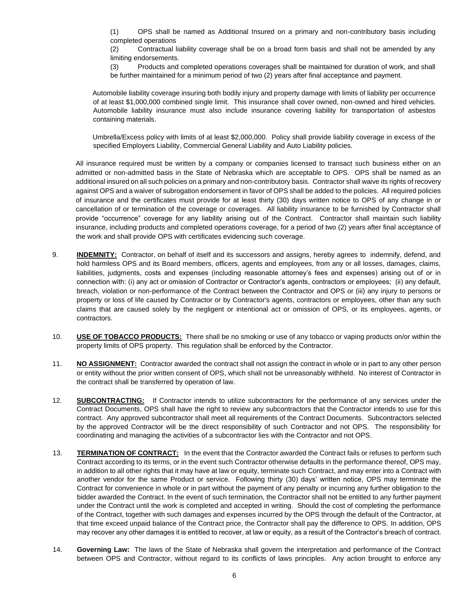(1) OPS shall be named as Additional Insured on a primary and non-contributory basis including completed operations

(2) Contractual liability coverage shall be on a broad form basis and shall not be amended by any limiting endorsements.

(3) Products and completed operations coverages shall be maintained for duration of work, and shall be further maintained for a minimum period of two (2) years after final acceptance and payment.

Automobile liability coverage insuring both bodily injury and property damage with limits of liability per occurrence of at least \$1,000,000 combined single limit. This insurance shall cover owned, non-owned and hired vehicles. Automobile liability insurance must also include insurance covering liability for transportation of asbestos containing materials.

Umbrella/Excess policy with limits of at least \$2,000,000. Policy shall provide liability coverage in excess of the specified Employers Liability, Commercial General Liability and Auto Liability policies.

All insurance required must be written by a company or companies licensed to transact such business either on an admitted or non-admitted basis in the State of Nebraska which are acceptable to OPS. OPS shall be named as an additional insured on all such policies on a primary and non-contributory basis. Contractor shall waive its rights of recovery against OPS and a waiver of subrogation endorsement in favor of OPS shall be added to the policies. All required policies of insurance and the certificates must provide for at least thirty (30) days written notice to OPS of any change in or cancellation of or termination of the coverage or coverages. All liability insurance to be furnished by Contractor shall provide "occurrence" coverage for any liability arising out of the Contract. Contractor shall maintain such liability insurance, including products and completed operations coverage, for a period of two (2) years after final acceptance of the work and shall provide OPS with certificates evidencing such coverage.

- 9. **INDEMNITY:** Contractor, on behalf of itself and its successors and assigns, hereby agrees to indemnify, defend, and hold harmless OPS and its Board members, officers, agents and employees, from any or all losses, damages, claims, liabilities, judgments, costs and expenses (including reasonable attorney's fees and expenses) arising out of or in connection with: (i) any act or omission of Contractor or Contractor's agents, contractors or employees; (ii) any default, breach, violation or non-performance of the Contract between the Contractor and OPS or (iii) any injury to persons or property or loss of life caused by Contractor or by Contractor's agents, contractors or employees, other than any such claims that are caused solely by the negligent or intentional act or omission of OPS, or its employees, agents, or contractors.
- 10. **USE OF TOBACCO PRODUCTS:** There shall be no smoking or use of any tobacco or vaping products on/or within the property limits of OPS property. This regulation shall be enforced by the Contractor.
- 11. **NO ASSIGNMENT:** Contractor awarded the contract shall not assign the contract in whole or in part to any other person or entity without the prior written consent of OPS, which shall not be unreasonably withheld. No interest of Contractor in the contract shall be transferred by operation of law.
- 12. **SUBCONTRACTING:** If Contractor intends to utilize subcontractors for the performance of any services under the Contract Documents, OPS shall have the right to review any subcontractors that the Contractor intends to use for this contract. Any approved subcontractor shall meet all requirements of the Contract Documents. Subcontractors selected by the approved Contractor will be the direct responsibility of such Contractor and not OPS. The responsibility for coordinating and managing the activities of a subcontractor lies with the Contractor and not OPS.
- 13. **TERMINATION OF CONTRACT:** In the event that the Contractor awarded the Contract fails or refuses to perform such Contract according to its terms, or in the event such Contractor otherwise defaults in the performance thereof, OPS may, in addition to all other rights that it may have at law or equity, terminate such Contract, and may enter into a Contract with another vendor for the same Product or service. Following thirty (30) days' written notice, OPS may terminate the Contract for convenience in whole or in part without the payment of any penalty or incurring any further obligation to the bidder awarded the Contract. In the event of such termination, the Contractor shall not be entitled to any further payment under the Contract until the work is completed and accepted in writing. Should the cost of completing the performance of the Contract, together with such damages and expenses incurred by the OPS through the default of the Contractor, at that time exceed unpaid balance of the Contract price, the Contractor shall pay the difference to OPS. In addition, OPS may recover any other damages it is entitled to recover, at law or equity, as a result of the Contractor's breach of contract.
- 14. **Governing Law:** The laws of the State of Nebraska shall govern the interpretation and performance of the Contract between OPS and Contractor, without regard to its conflicts of laws principles. Any action brought to enforce any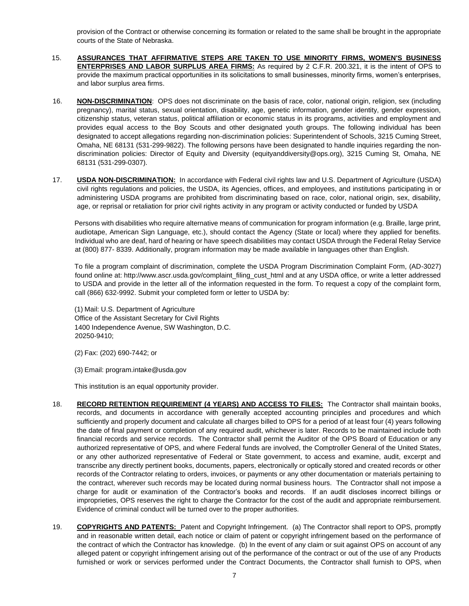provision of the Contract or otherwise concerning its formation or related to the same shall be brought in the appropriate courts of the State of Nebraska.

- 15. **ASSURANCES THAT AFFIRMATIVE STEPS ARE TAKEN TO USE MINORITY FIRMS, WOMEN'S BUSINESS ENTERPRISES AND LABOR SURPLUS AREA FIRMS:** As required by 2 C.F.R. 200.321, it is the intent of OPS to provide the maximum practical opportunities in its solicitations to small businesses, minority firms, women's enterprises, and labor surplus area firms.
- 16. **NON-DISCRIMINATION**: OPS does not discriminate on the basis of race, color, national origin, religion, sex (including pregnancy), marital status, sexual orientation, disability, age, genetic information, gender identity, gender expression, citizenship status, veteran status, political affiliation or economic status in its programs, activities and employment and provides equal access to the Boy Scouts and other designated youth groups. The following individual has been designated to accept allegations regarding non-discrimination policies: Superintendent of Schools, 3215 Cuming Street, Omaha, NE 68131 (531-299-9822). The following persons have been designated to handle inquiries regarding the nondiscrimination policies: Director of Equity and Diversity (equityanddiversity@ops.org), 3215 Cuming St, Omaha, NE 68131 (531-299-0307).
- 17. **USDA NON-DISCRIMINATION:** In accordance with Federal civil rights law and U.S. Department of Agriculture (USDA) civil rights regulations and policies, the USDA, its Agencies, offices, and employees, and institutions participating in or administering USDA programs are prohibited from discriminating based on race, color, national origin, sex, disability, age, or reprisal or retaliation for prior civil rights activity in any program or activity conducted or funded by USDA

Persons with disabilities who require alternative means of communication for program information (e.g. Braille, large print, audiotape, American Sign Language, etc.), should contact the Agency (State or local) where they applied for benefits. Individual who are deaf, hard of hearing or have speech disabilities may contact USDA through the Federal Relay Service at (800) 877- 8339. Additionally, program information may be made available in languages other than English.

To file a program complaint of discrimination, complete the USDA Program Discrimination Complaint Form, (AD-3027) found online at: http://www.ascr.usda.gov/complaint\_filing\_cust\_html and at any USDA office, or write a letter addressed to USDA and provide in the letter all of the information requested in the form. To request a copy of the complaint form, call (866) 632-9992. Submit your completed form or letter to USDA by:

(1) Mail: U.S. Department of Agriculture Office of the Assistant Secretary for Civil Rights 1400 Independence Avenue, SW Washington, D.C. 20250-9410;

- (2) Fax: (202) 690-7442; or
- (3) Email: program.intake@usda.gov

This institution is an equal opportunity provider.

- 18. **RECORD RETENTION REQUIREMENT (4 YEARS) AND ACCESS TO FILES:** The Contractor shall maintain books, records, and documents in accordance with generally accepted accounting principles and procedures and which sufficiently and properly document and calculate all charges billed to OPS for a period of at least four (4) years following the date of final payment or completion of any required audit, whichever is later. Records to be maintained include both financial records and service records. The Contractor shall permit the Auditor of the OPS Board of Education or any authorized representative of OPS, and where Federal funds are involved, the Comptroller General of the United States, or any other authorized representative of Federal or State government, to access and examine, audit, excerpt and transcribe any directly pertinent books, documents, papers, electronically or optically stored and created records or other records of the Contractor relating to orders, invoices, or payments or any other documentation or materials pertaining to the contract, wherever such records may be located during normal business hours. The Contractor shall not impose a charge for audit or examination of the Contractor's books and records. If an audit discloses incorrect billings or improprieties, OPS reserves the right to charge the Contractor for the cost of the audit and appropriate reimbursement. Evidence of criminal conduct will be turned over to the proper authorities.
- 19. **COPYRIGHTS AND PATENTS:** Patent and Copyright Infringement. (a) The Contractor shall report to OPS, promptly and in reasonable written detail, each notice or claim of patent or copyright infringement based on the performance of the contract of which the Contractor has knowledge. (b) In the event of any claim or suit against OPS on account of any alleged patent or copyright infringement arising out of the performance of the contract or out of the use of any Products furnished or work or services performed under the Contract Documents, the Contractor shall furnish to OPS, when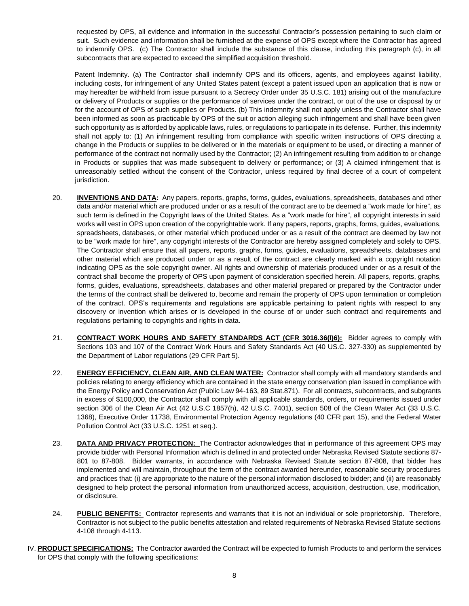requested by OPS, all evidence and information in the successful Contractor's possession pertaining to such claim or suit. Such evidence and information shall be furnished at the expense of OPS except where the Contractor has agreed to indemnify OPS. (c) The Contractor shall include the substance of this clause, including this paragraph (c), in all subcontracts that are expected to exceed the simplified acquisition threshold.

Patent Indemnity. (a) The Contractor shall indemnify OPS and its officers, agents, and employees against liability, including costs, for infringement of any United States patent (except a patent issued upon an application that is now or may hereafter be withheld from issue pursuant to a Secrecy Order under 35 U.S.C. 181) arising out of the manufacture or delivery of Products or supplies or the performance of services under the contract, or out of the use or disposal by or for the account of OPS of such supplies or Products. (b) This indemnity shall not apply unless the Contractor shall have been informed as soon as practicable by OPS of the suit or action alleging such infringement and shall have been given such opportunity as is afforded by applicable laws, rules, or regulations to participate in its defense. Further, this indemnity shall not apply to: (1) An infringement resulting from compliance with specific written instructions of OPS directing a change in the Products or supplies to be delivered or in the materials or equipment to be used, or directing a manner of performance of the contract not normally used by the Contractor; (2) An infringement resulting from addition to or change in Products or supplies that was made subsequent to delivery or performance; or (3) A claimed infringement that is unreasonably settled without the consent of the Contractor, unless required by final decree of a court of competent jurisdiction.

- 20. **INVENTIONS AND DATA:** Any papers, reports, graphs, forms, guides, evaluations, spreadsheets, databases and other data and/or material which are produced under or as a result of the contract are to be deemed a "work made for hire", as such term is defined in the Copyright laws of the United States. As a "work made for hire", all copyright interests in said works will vest in OPS upon creation of the copyrightable work. If any papers, reports, graphs, forms, guides, evaluations, spreadsheets, databases, or other material which produced under or as a result of the contract are deemed by law not to be "work made for hire", any copyright interests of the Contractor are hereby assigned completely and solely to OPS. The Contractor shall ensure that all papers, reports, graphs, forms, guides, evaluations, spreadsheets, databases and other material which are produced under or as a result of the contract are clearly marked with a copyright notation indicating OPS as the sole copyright owner. All rights and ownership of materials produced under or as a result of the contract shall become the property of OPS upon payment of consideration specified herein. All papers, reports, graphs, forms, guides, evaluations, spreadsheets, databases and other material prepared or prepared by the Contractor under the terms of the contract shall be delivered to, become and remain the property of OPS upon termination or completion of the contract. OPS's requirements and regulations are applicable pertaining to patent rights with respect to any discovery or invention which arises or is developed in the course of or under such contract and requirements and regulations pertaining to copyrights and rights in data.
- 21. **CONTRACT WORK HOURS AND SAFETY STANDARDS ACT (CFR 3016.36(I)6):** Bidder agrees to comply with Sections 103 and 107 of the Contract Work Hours and Safety Standards Act (40 US.C. 327-330) as supplemented by the Department of Labor regulations (29 CFR Part 5).
- 22. **ENERGY EFFICIENCY, CLEAN AIR, AND CLEAN WATER:** Contractor shall comply with all mandatory standards and policies relating to energy efficiency which are contained in the state energy conservation plan issued in compliance with the Energy Policy and Conservation Act (Public Law 94-163, 89 Stat.871). For all contracts, subcontracts, and subgrants in excess of \$100,000, the Contractor shall comply with all applicable standards, orders, or requirements issued under section 306 of the Clean Air Act (42 U.S.C 1857(h), 42 U.S.C. 7401), section 508 of the Clean Water Act (33 U.S.C. 1368), Executive Order 11738, Environmental Protection Agency regulations (40 CFR part 15), and the Federal Water Pollution Control Act (33 U.S.C. 1251 et seq.).
- 23. **DATA AND PRIVACY PROTECTION:** The Contractor acknowledges that in performance of this agreement OPS may provide bidder with Personal Information which is defined in and protected under Nebraska Revised Statute sections 87- 801 to 87-808. Bidder warrants, in accordance with Nebraska Revised Statute section 87-808, that bidder has implemented and will maintain, throughout the term of the contract awarded hereunder, reasonable security procedures and practices that: (i) are appropriate to the nature of the personal information disclosed to bidder; and (ii) are reasonably designed to help protect the personal information from unauthorized access, acquisition, destruction, use, modification, or disclosure.
- 24. **PUBLIC BENEFITS:** Contractor represents and warrants that it is not an individual or sole proprietorship. Therefore, Contractor is not subject to the public benefits attestation and related requirements of Nebraska Revised Statute sections 4-108 through 4-113.
- IV. **PRODUCT SPECIFICATIONS:** The Contractor awarded the Contract will be expected to furnish Products to and perform the services for OPS that comply with the following specifications: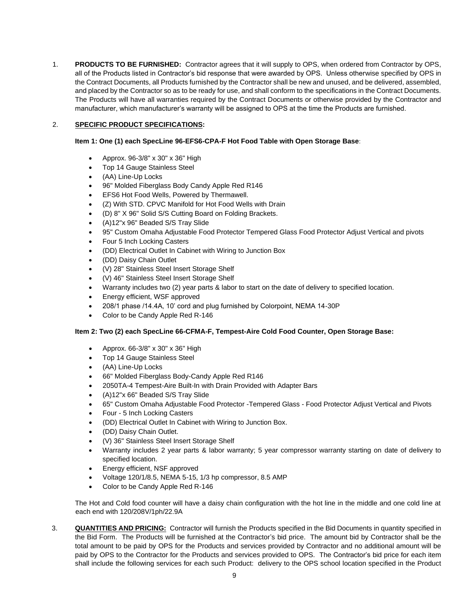1. **PRODUCTS TO BE FURNISHED:** Contractor agrees that it will supply to OPS, when ordered from Contractor by OPS, all of the Products listed in Contractor's bid response that were awarded by OPS. Unless otherwise specified by OPS in the Contract Documents, all Products furnished by the Contractor shall be new and unused, and be delivered, assembled, and placed by the Contractor so as to be ready for use, and shall conform to the specifications in the Contract Documents. The Products will have all warranties required by the Contract Documents or otherwise provided by the Contractor and manufacturer, which manufacturer's warranty will be assigned to OPS at the time the Products are furnished.

#### 2. **SPECIFIC PRODUCT SPECIFICATIONS:**

#### **Item 1: One (1) each SpecLine 96-EFS6-CPA-F Hot Food Table with Open Storage Base**:

- Approx. 96-3/8" x 30" x 36" High
- Top 14 Gauge Stainless Steel
- (AA) Line-Up Locks
- 96" Molded Fiberglass Body Candy Apple Red R146
- EFS6 Hot Food Wells, Powered by Thermawell.
- (Z) With STD. CPVC Manifold for Hot Food Wells with Drain
- (D) 8" X 96" Solid S/S Cutting Board on Folding Brackets.
- (A)12"x 96" Beaded S/S Tray Slide
- 95" Custom Omaha Adjustable Food Protector Tempered Glass Food Protector Adjust Vertical and pivots
- Four 5 Inch Locking Casters
- (DD) Electrical Outlet In Cabinet with Wiring to Junction Box
- (DD) Daisy Chain Outlet
- (V) 28" Stainless Steel Insert Storage Shelf
- (V) 46" Stainless Steel Insert Storage Shelf
- Warranty includes two (2) year parts & labor to start on the date of delivery to specified location.
- Energy efficient, WSF approved
- 208/1 phase /14.4A, 10' cord and plug furnished by Colorpoint, NEMA 14-30P
- Color to be Candy Apple Red R-146

### **Item 2: Two (2) each SpecLine 66-CFMA-F, Tempest-Aire Cold Food Counter, Open Storage Base:**

- Approx. 66-3/8" x 30" x 36" High
- Top 14 Gauge Stainless Steel
- (AA) Line-Up Locks
- 66" Molded Fiberglass Body-Candy Apple Red R146
- 2050TA-4 Tempest-Aire Built-In with Drain Provided with Adapter Bars
- (A)12"x 66" Beaded S/S Tray Slide
- 65" Custom Omaha Adjustable Food Protector -Tempered Glass Food Protector Adjust Vertical and Pivots
- Four 5 Inch Locking Casters
- (DD) Electrical Outlet In Cabinet with Wiring to Junction Box.
- (DD) Daisy Chain Outlet.
- (V) 36" Stainless Steel Insert Storage Shelf
- Warranty includes 2 year parts & labor warranty; 5 year compressor warranty starting on date of delivery to specified location.
- Energy efficient, NSF approved
- Voltage 120/1/8.5, NEMA 5-15, 1/3 hp compressor, 8.5 AMP
- Color to be Candy Apple Red R-146

The Hot and Cold food counter will have a daisy chain configuration with the hot line in the middle and one cold line at each end with 120/208V/1ph/22.9A

3. **QUANTITIES AND PRICING:** Contractor will furnish the Products specified in the Bid Documents in quantity specified in the Bid Form. The Products will be furnished at the Contractor's bid price. The amount bid by Contractor shall be the total amount to be paid by OPS for the Products and services provided by Contractor and no additional amount will be paid by OPS to the Contractor for the Products and services provided to OPS. The Contractor's bid price for each item shall include the following services for each such Product: delivery to the OPS school location specified in the Product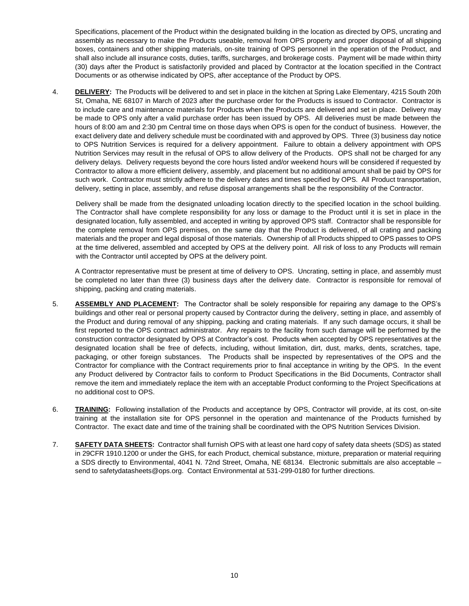Specifications, placement of the Product within the designated building in the location as directed by OPS, uncrating and assembly as necessary to make the Products useable, removal from OPS property and proper disposal of all shipping boxes, containers and other shipping materials, on-site training of OPS personnel in the operation of the Product, and shall also include all insurance costs, duties, tariffs, surcharges, and brokerage costs. Payment will be made within thirty (30) days after the Product is satisfactorily provided and placed by Contractor at the location specified in the Contract Documents or as otherwise indicated by OPS, after acceptance of the Product by OPS.

4. **DELIVERY:** The Products will be delivered to and set in place in the kitchen at Spring Lake Elementary, 4215 South 20th St, Omaha, NE 68107 in March of 2023 after the purchase order for the Products is issued to Contractor. Contractor is to include care and maintenance materials for Products when the Products are delivered and set in place. Delivery may be made to OPS only after a valid purchase order has been issued by OPS. All deliveries must be made between the hours of 8:00 am and 2:30 pm Central time on those days when OPS is open for the conduct of business. However, the exact delivery date and delivery schedule must be coordinated with and approved by OPS. Three (3) business day notice to OPS Nutrition Services is required for a delivery appointment. Failure to obtain a delivery appointment with OPS Nutrition Services may result in the refusal of OPS to allow delivery of the Products. OPS shall not be charged for any delivery delays. Delivery requests beyond the core hours listed and/or weekend hours will be considered if requested by Contractor to allow a more efficient delivery, assembly, and placement but no additional amount shall be paid by OPS for such work. Contractor must strictly adhere to the delivery dates and times specified by OPS. All Product transportation, delivery, setting in place, assembly, and refuse disposal arrangements shall be the responsibility of the Contractor.

Delivery shall be made from the designated unloading location directly to the specified location in the school building. The Contractor shall have complete responsibility for any loss or damage to the Product until it is set in place in the designated location, fully assembled, and accepted in writing by approved OPS staff. Contractor shall be responsible for the complete removal from OPS premises, on the same day that the Product is delivered, of all crating and packing materials and the proper and legal disposal of those materials. Ownership of all Products shipped to OPS passes to OPS at the time delivered, assembled and accepted by OPS at the delivery point. All risk of loss to any Products will remain with the Contractor until accepted by OPS at the delivery point.

A Contractor representative must be present at time of delivery to OPS. Uncrating, setting in place, and assembly must be completed no later than three (3) business days after the delivery date. Contractor is responsible for removal of shipping, packing and crating materials.

- 5. **ASSEMBLY AND PLACEMENT:** The Contractor shall be solely responsible for repairing any damage to the OPS's buildings and other real or personal property caused by Contractor during the delivery, setting in place, and assembly of the Product and during removal of any shipping, packing and crating materials. If any such damage occurs, it shall be first reported to the OPS contract administrator. Any repairs to the facility from such damage will be performed by the construction contractor designated by OPS at Contractor's cost. Products when accepted by OPS representatives at the designated location shall be free of defects, including, without limitation, dirt, dust, marks, dents, scratches, tape, packaging, or other foreign substances. The Products shall be inspected by representatives of the OPS and the Contractor for compliance with the Contract requirements prior to final acceptance in writing by the OPS. In the event any Product delivered by Contractor fails to conform to Product Specifications in the Bid Documents, Contractor shall remove the item and immediately replace the item with an acceptable Product conforming to the Project Specifications at no additional cost to OPS.
- 6. **TRAINING:** Following installation of the Products and acceptance by OPS, Contractor will provide, at its cost, on-site training at the installation site for OPS personnel in the operation and maintenance of the Products furnished by Contractor. The exact date and time of the training shall be coordinated with the OPS Nutrition Services Division.
- 7. **SAFETY DATA SHEETS:** Contractor shall furnish OPS with at least one hard copy of safety data sheets (SDS) as stated in 29CFR 1910.1200 or under the GHS, for each Product, chemical substance, mixture, preparation or material requiring a SDS directly to Environmental, 4041 N. 72nd Street, Omaha, NE 68134. Electronic submittals are also acceptable – send to safetydatasheets@ops.org. Contact Environmental at 531-299-0180 for further directions.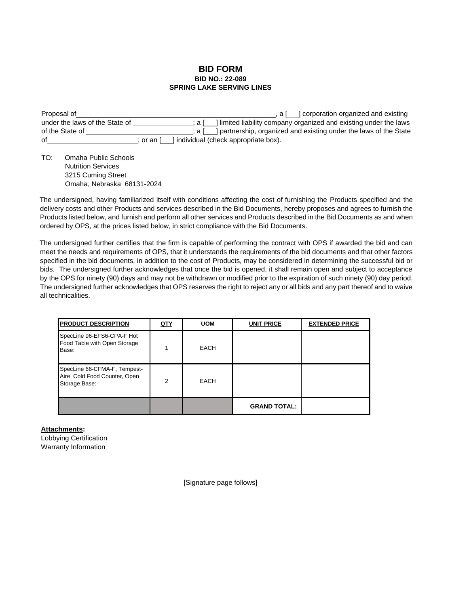## **BID FORM BID NO.: 22-089 SPRING LAKE SERVING LINES**

Proposal of **homogeneous contract of the contract of the contract of the contract of the contract of the contract of the contract of the contract of the contract of the contract of the contract of the contract of the contr** under the laws of the State of \_\_\_\_\_\_\_\_\_\_\_; a [\_\_] limited liability company organized and existing under the laws of the State of **interpretate of the State** intership, organized and existing under the laws of the State of  $\qquad \qquad ;$  or an [ \_\_\_] individual (check appropriate box).

TO: Omaha Public Schools Nutrition Services 3215 Cuming Street Omaha, Nebraska 68131-2024

The undersigned, having familiarized itself with conditions affecting the cost of furnishing the Products specified and the delivery costs and other Products and services described in the Bid Documents, hereby proposes and agrees to furnish the Products listed below, and furnish and perform all other services and Products described in the Bid Documents as and when ordered by OPS, at the prices listed below, in strict compliance with the Bid Documents.

The undersigned further certifies that the firm is capable of performing the contract with OPS if awarded the bid and can meet the needs and requirements of OPS, that it understands the requirements of the bid documents and that other factors specified in the bid documents, in addition to the cost of Products, may be considered in determining the successful bid or bids. The undersigned further acknowledges that once the bid is opened, it shall remain open and subject to acceptance by the OPS for ninety (90) days and may not be withdrawn or modified prior to the expiration of such ninety (90) day period. The undersigned further acknowledges that OPS reserves the right to reject any or all bids and any part thereof and to waive all technicalities.

| <b>PRODUCT DESCRIPTION</b>                                                    | <u>QTY</u>     | <b>UOM</b>  | <b>UNIT PRICE</b>   | <b>EXTENDED PRICE</b> |
|-------------------------------------------------------------------------------|----------------|-------------|---------------------|-----------------------|
| SpecLine 96-EFS6-CPA-F Hot<br>Food Table with Open Storage<br>Base:           |                | <b>EACH</b> |                     |                       |
| SpecLine 66-CFMA-F, Tempest-<br>Aire Cold Food Counter, Open<br>Storage Base: | $\overline{2}$ | <b>EACH</b> |                     |                       |
|                                                                               |                |             | <b>GRAND TOTAL:</b> |                       |

**Attachments:** Lobbying Certification Warranty Information

[Signature page follows]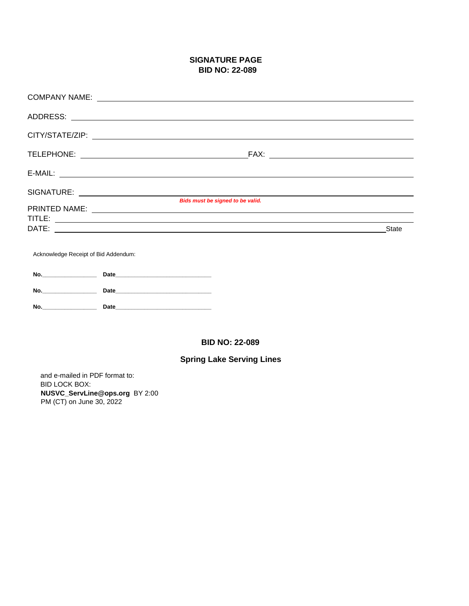## **SIGNATURE PAGE BID NO: 22-089**

|                                      | FAX: The contract of the contract of the contract of the contract of the contract of the contract of the contract of the contract of the contract of the contract of the contract of the contract of the contract of the contr |
|--------------------------------------|--------------------------------------------------------------------------------------------------------------------------------------------------------------------------------------------------------------------------------|
| $E-MAIL:$                            |                                                                                                                                                                                                                                |
|                                      |                                                                                                                                                                                                                                |
| Bids must be signed to be valid.     |                                                                                                                                                                                                                                |
|                                      |                                                                                                                                                                                                                                |
|                                      | State                                                                                                                                                                                                                          |
| Acknowledge Receipt of Bid Addendum: |                                                                                                                                                                                                                                |

| No. | Date |
|-----|------|
| No. | Date |
| No. | Date |

## **BID NO: 22-089**

# **Spring Lake Serving Lines**

and e-mailed in PDF format to: BID LOCK BOX: **NUSVC\_ServLine@ops.org** BY 2:00 PM (CT) on June 30, 2022